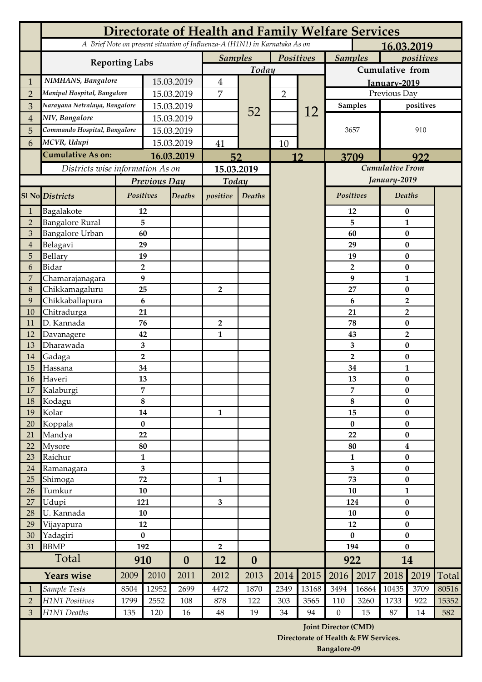|                | <b>Directorate of Health and Family Welfare Services</b> |                              |                         |                  |                                                                            |                             |                |                |                             |                                      |                                  |                      |       |  |
|----------------|----------------------------------------------------------|------------------------------|-------------------------|------------------|----------------------------------------------------------------------------|-----------------------------|----------------|----------------|-----------------------------|--------------------------------------|----------------------------------|----------------------|-------|--|
|                |                                                          |                              |                         |                  | A Brief Note on present situation of Influenza-A (H1N1) in Karnataka As on |                             |                |                | 16.03.2019                  |                                      |                                  |                      |       |  |
|                | <b>Reporting Labs</b>                                    | <b>Samples</b>               |                         | Positives        |                                                                            | <b>Samples</b><br>positives |                |                |                             |                                      |                                  |                      |       |  |
|                |                                                          |                              | Today                   |                  |                                                                            | Cumulative from             |                |                |                             |                                      |                                  |                      |       |  |
| 1              | NIMHANS, Bangalore                                       |                              | 15.03.2019              |                  | $\overline{4}$                                                             |                             |                |                | January-2019                |                                      |                                  |                      |       |  |
| $\overline{2}$ | Manipal Hospital, Bangalore                              |                              | 15.03.2019              |                  | $\overline{7}$                                                             |                             | $\overline{2}$ |                |                             |                                      |                                  | Previous Day         |       |  |
| 3              | Narayana Netralaya, Bangalore                            | 15.03.2019                   |                         |                  | 52                                                                         |                             | 12             | <b>Samples</b> |                             | positives                            |                                  |                      |       |  |
| $\overline{4}$ | NIV, Bangalore                                           | 15.03.2019                   |                         |                  |                                                                            |                             |                | 3657           |                             | 910                                  |                                  |                      |       |  |
| 5              |                                                          | Commando Hospital, Bangalore |                         | 15.03.2019       |                                                                            |                             |                |                |                             |                                      |                                  |                      |       |  |
| 6              | MCVR, Udupi                                              |                              |                         | 15.03.2019       |                                                                            |                             | 10             |                |                             |                                      |                                  |                      |       |  |
|                | <b>Cumulative As on:</b>                                 |                              | 16.03.2019              |                  | 52                                                                         |                             | 12             |                | 3709                        |                                      | 922                              |                      |       |  |
|                | Districts wise information As on                         |                              |                         |                  | 15.03.2019                                                                 |                             |                |                |                             |                                      | <b>Cumulative From</b>           |                      |       |  |
|                |                                                          |                              | <b>Previous Day</b>     |                  | Today                                                                      |                             |                |                |                             |                                      | January-2019                     |                      |       |  |
|                | <b>Sl No Districts</b>                                   | Positives                    |                         | <b>Deaths</b>    | positive                                                                   | Deaths                      |                |                | Positives                   |                                      | <b>Deaths</b>                    |                      |       |  |
| 1              | Bagalakote                                               |                              | 12                      |                  |                                                                            |                             |                |                |                             | 12                                   |                                  | $\bf{0}$             |       |  |
| $\overline{2}$ | <b>Bangalore Rural</b>                                   |                              | 5                       |                  |                                                                            |                             |                |                |                             | 5                                    | $\mathbf{1}$                     |                      |       |  |
| $\overline{3}$ | <b>Bangalore Urban</b>                                   |                              | 60                      |                  |                                                                            |                             |                |                |                             | 60                                   | $\bf{0}$                         |                      |       |  |
| $\overline{4}$ | Belagavi                                                 |                              | 29                      |                  |                                                                            |                             |                |                |                             | 29                                   |                                  | $\bf{0}$             |       |  |
| 5              | Bellary                                                  |                              | 19                      |                  |                                                                            |                             |                |                |                             | 19                                   | $\bf{0}$                         |                      |       |  |
| 6              | <b>Bidar</b>                                             |                              | $\overline{2}$          |                  |                                                                            |                             |                |                |                             | $\overline{2}$                       |                                  | $\bf{0}$             |       |  |
| 7              | Chamarajanagara                                          |                              | 9                       |                  |                                                                            |                             |                |                |                             | 9                                    | $\mathbf{1}$                     |                      |       |  |
| $8\,$          | Chikkamagaluru                                           |                              | 25                      |                  | $\overline{2}$                                                             |                             |                |                |                             | 27                                   |                                  | $\bf{0}$             |       |  |
| 9              | Chikkaballapura                                          |                              | 6                       |                  |                                                                            |                             |                |                |                             | 6                                    | $\overline{2}$<br>$\overline{2}$ |                      |       |  |
| 10             | Chitradurga                                              |                              | 21                      |                  |                                                                            |                             |                |                |                             | 21                                   |                                  |                      |       |  |
| 11<br>12       | D. Kannada                                               |                              | 76<br>42                |                  | 2<br>$\mathbf{1}$                                                          |                             |                |                |                             | 78                                   |                                  | $\bf{0}$             |       |  |
| 13             | Davanagere<br>Dharawada                                  |                              | 3                       |                  |                                                                            |                             |                |                |                             | 43                                   | $\overline{2}$<br>$\bf{0}$       |                      |       |  |
| 14             | Gadaga                                                   |                              | $\overline{\mathbf{2}}$ |                  |                                                                            |                             |                |                |                             | 3<br>$\overline{2}$                  |                                  | $\bf{0}$             |       |  |
| 15             | Hassana                                                  |                              | 34                      |                  |                                                                            |                             |                |                | 34                          |                                      | $\mathbf{1}$                     |                      |       |  |
| 16             | Haveri                                                   |                              | 13                      |                  |                                                                            |                             |                |                |                             | 13                                   |                                  | $\bf{0}$             |       |  |
| 17             | Kalaburgi                                                |                              | 7                       |                  |                                                                            |                             |                |                |                             | 7                                    | $\bf{0}$                         |                      |       |  |
| 18             | Kodagu                                                   |                              | 8                       |                  |                                                                            |                             |                |                |                             | 8                                    |                                  | $\bf{0}$             |       |  |
| 19             | Kolar                                                    |                              | 14                      |                  | $\mathbf{1}$                                                               |                             |                |                | 15                          |                                      | $\bf{0}$                         |                      |       |  |
| 20             | Koppala                                                  |                              | $\bf{0}$                |                  |                                                                            |                             |                |                | $\pmb{0}$                   |                                      | $\bf{0}$                         |                      |       |  |
| 21             | Mandya                                                   |                              | 22                      |                  |                                                                            |                             |                |                |                             | 22                                   |                                  | $\bf{0}$             |       |  |
| 22             | Mysore                                                   |                              | 80                      |                  |                                                                            |                             |                |                | 80                          |                                      | $\boldsymbol{4}$                 |                      |       |  |
| 23             | Raichur                                                  |                              | $\mathbf{1}$            |                  |                                                                            |                             |                |                | $\mathbf{1}$                |                                      | $\bf{0}$                         |                      |       |  |
| 24             | Ramanagara                                               |                              | 3                       |                  |                                                                            |                             |                |                | 3                           |                                      | $\bf{0}$                         |                      |       |  |
| 25             | Shimoga                                                  | 72                           |                         |                  | $\mathbf{1}$                                                               |                             |                |                | 73                          |                                      | 0                                |                      |       |  |
| 26             | Tumkur                                                   | 10                           |                         |                  |                                                                            |                             |                |                |                             | 10                                   | $\mathbf{1}$                     |                      |       |  |
| 27<br>28       | Udupi<br>U. Kannada                                      | 121                          |                         |                  | $\overline{\mathbf{3}}$                                                    |                             |                |                |                             | 124                                  |                                  | $\bf{0}$             |       |  |
| 29             | Vijayapura                                               | 10<br>12                     |                         |                  |                                                                            |                             |                |                |                             | 10<br>12                             |                                  | $\bf{0}$<br>$\bf{0}$ |       |  |
| 30             | Yadagiri                                                 | $\bf{0}$                     |                         |                  |                                                                            |                             |                |                | $\bf{0}$                    |                                      | $\bf{0}$                         |                      |       |  |
| 31             | <b>BBMP</b>                                              | 192                          |                         |                  | $\mathbf{2}$                                                               |                             |                |                | 194                         |                                      | $\bf{0}$                         |                      |       |  |
| Total          |                                                          | 910                          |                         | $\boldsymbol{0}$ | 12                                                                         | $\bf{0}$                    |                |                | 922                         |                                      | 14                               |                      |       |  |
|                | <b>Years wise</b>                                        | 2009                         | 2010                    | 2011             | 2012                                                                       | 2013                        | 2014           | 2015           | 2016                        | 2017                                 | 2018                             | 2019                 | Total |  |
| $\mathbf{1}$   | Sample Tests                                             | 8504                         | 12952                   | 2699             | 4472                                                                       | 1870                        | 2349           | 13168          | 3494                        | 16864                                | 10435                            | 3709                 | 80516 |  |
| $\overline{2}$ | <b>H1N1 Positives</b>                                    | 1799                         | 2552                    | 108              | 878                                                                        | 122                         | 303            | 3565           | 110                         | 3260                                 | 1733                             | 922                  | 15352 |  |
| 3              | H1N1 Deaths                                              | 135                          | 120                     | 16               | 48                                                                         | 19                          | 34             | 94             | $\mathbf{0}$                | 15                                   | 87                               | 14                   | 582   |  |
|                |                                                          |                              |                         |                  |                                                                            |                             |                |                | <b>Joint Director (CMD)</b> |                                      |                                  |                      |       |  |
|                |                                                          |                              |                         |                  |                                                                            |                             |                |                |                             | Directorate of Health & FW Services. |                                  |                      |       |  |
|                |                                                          |                              |                         |                  |                                                                            |                             |                |                | <b>Bangalore-09</b>         |                                      |                                  |                      |       |  |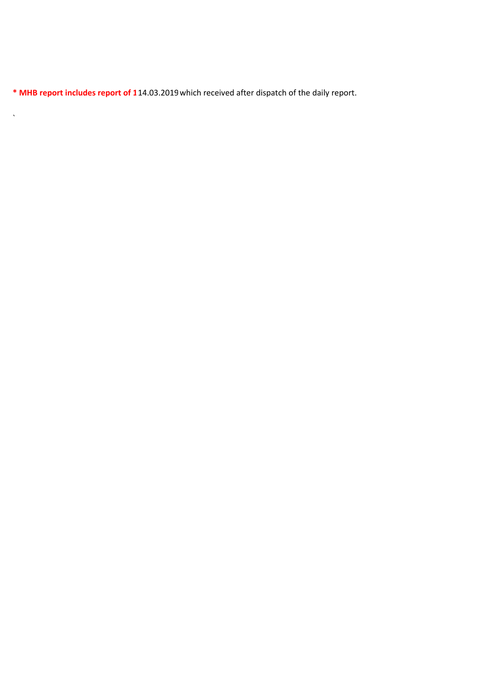\* MHB report includes report of 114.03.2019 which received after dispatch of the daily report.

 $\sqrt{2}$